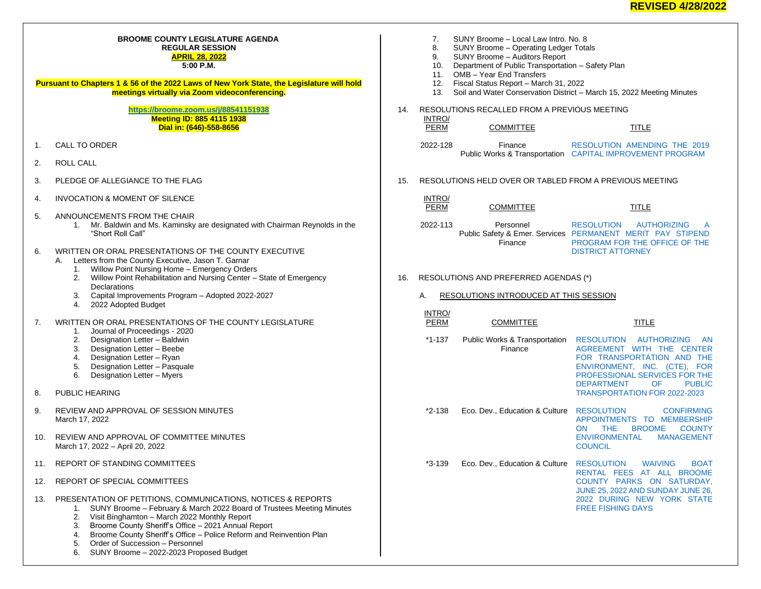## **BROOME COUNTY LEGISLATURE AGENDA REGULAR SESSION APRIL 28, 2022 5:00 P.M.**

**Pursuant to Chapters 1 & 56 of the 2022 Laws of New York State, the Legislature will hold meetings virtually via Zoom videoconferencing.**

## **<https://broome.zoom.us/j/88541151938> Meeting ID: 885 4115 1938 Dial in: (646)-558-8656**

- 1. CALL TO ORDER
- 2. ROLL CALL
- 3. PLEDGE OF ALLEGIANCE TO THE FLAG
- 4. INVOCATION & MOMENT OF SILENCE
- 5. ANNOUNCEMENTS FROM THE CHAIR
	- 1. Mr. Baldwin and Ms. Kaminsky are designated with Chairman Reynolds in the "Short Roll Call"
- 6. WRITTEN OR ORAL PRESENTATIONS OF THE COUNTY EXECUTIVE
	- A. Letters from the County Executive, Jason T. Garnar
		- 1. Willow Point Nursing Home Emergency Orders
		- 2. Willow Point Rehabilitation and Nursing Center State of Emergency **Declarations**
		- 3. Capital Improvements Program Adopted 2022-2027
		- 4. 2022 Adopted Budget
- 7. WRITTEN OR ORAL PRESENTATIONS OF THE COUNTY LEGISLATURE
	- 1. Journal of Proceedings 2020
	- 2. Designation Letter Baldwin
	- 3. Designation Letter Beebe
	- 4. Designation Letter Ryan
	- 5. Designation Letter Pasquale
	- 6. Designation Letter Myers
- 8. PUBLIC HEARING
- 9. REVIEW AND APPROVAL OF SESSION MINUTES March 17, 2022
- 10. REVIEW AND APPROVAL OF COMMITTEE MINUTES March 17, 2022 – April 20, 2022
- 11. REPORT OF STANDING COMMITTEES
- 12. REPORT OF SPECIAL COMMITTEES
- 13. PRESENTATION OF PETITIONS, COMMUNICATIONS, NOTICES & REPORTS
	- 1. SUNY Broome February & March 2022 Board of Trustees Meeting Minutes
	- 2. Visit Binghamton March 2022 Monthly Report
	- 3. Broome County Sheriff's Office 2021 Annual Report
	- 4. Broome County Sheriff's Office Police Reform and Reinvention Plan
	- 5. Order of Succession Personnel
	- 6. SUNY Broome 2022-2023 Proposed Budget
- 7. SUNY Broome Local Law Intro. No. 8<br>8. SUNY Broome Operating Ledger Tota
- 8. SUNY Broome Operating Ledger Totals
- 9. SUNY Broome Auditors Report
- 10. Department of Public Transportation Safety Plan
- 11. OMB Year End Transfers
- 12. Fiscal Status Report March 31, 2022
- 13. Soil and Water Conservation District March 15, 2022 Meeting Minutes
- 14. RESOLUTIONS RECALLED FROM A PREVIOUS MEETING INTRO/
	- PERM COMMITTEE TITLE

- 2022-128 Finance Public Works & Transportation [CAPITAL IMPROVEMENT PROGRAM](https://www.gobroomecounty.com/sites/default/files/dept/legis/03172022-53.pdf) [RESOLUTION AMENDING THE 2019](https://www.gobroomecounty.com/sites/default/files/dept/legis/03172022-53.pdf)
- 15. RESOLUTIONS HELD OVER OR TABLED FROM A PREVIOUS MEETING
	- **INTRO/**<br>PERM
		- COMMITTEE TITLE
	- 2022-113 Personnel Public Safety & Emer. Services [PERMANENT MERIT PAY STIPEND](https://www.gobroomecounty.com/sites/default/files/dept/legis/03172022-38.pdf)  Finance [RESOLUTION AUTHORIZING A](https://www.gobroomecounty.com/sites/default/files/dept/legis/03172022-38.pdf)  [PROGRAM FOR THE OFFICE OF THE](https://www.gobroomecounty.com/sites/default/files/dept/legis/03172022-38.pdf)  [DISTRICT ATTORNEY](https://www.gobroomecounty.com/sites/default/files/dept/legis/03172022-38.pdf)
- 16. RESOLUTIONS AND PREFERRED AGENDAS (\*)
	- A. RESOLUTIONS INTRODUCED AT THIS SESSION
	- INTRO/

| PERM | <b>COMMITTEE</b> |  |
|------|------------------|--|
|      |                  |  |

- \*1-137 Public Works & Transportation [RESOLUTION AUTHORIZING AN](https://www.gobroomecounty.com/sites/default/files/dept/legis/04212022-01.pdf)  Finance [AGREEMENT WITH THE CENTER](https://www.gobroomecounty.com/sites/default/files/dept/legis/04212022-01.pdf)  [FOR TRANSPORTATION AND THE](https://www.gobroomecounty.com/sites/default/files/dept/legis/04212022-01.pdf)  [ENVIRONMENT, INC. \(CTE\), FOR](https://www.gobroomecounty.com/sites/default/files/dept/legis/04212022-01.pdf)  **[PROFESSIONAL SERVICES FOR THE](https://www.gobroomecounty.com/sites/default/files/dept/legis/04212022-01.pdf) DEPARTMENT DEPARTMENT** [TRANSPORTATION FOR 2022-2023](https://www.gobroomecounty.com/sites/default/files/dept/legis/04212022-01.pdf)
- \*2-138 Eco. Dev., Education & Culture [RESOLUTION CONFIRMING](https://www.gobroomecounty.com/sites/default/files/dept/legis/04212022-02c.pdf)  [APPOINTMENTS TO MEMBERSHIP](https://www.gobroomecounty.com/sites/default/files/dept/legis/04212022-02c.pdf)  [ON THE BROOME COUNTY](https://www.gobroomecounty.com/sites/default/files/dept/legis/04212022-02c.pdf)  [ENVIRONMENTAL MANAGEMENT](https://www.gobroomecounty.com/sites/default/files/dept/legis/04212022-02c.pdf)  **[COUNCIL](https://www.gobroomecounty.com/sites/default/files/dept/legis/04212022-02c.pdf)**
- \*3-139 Eco. Dev., Education & Culture [RESOLUTION WAIVING BOAT](https://www.gobroomecounty.com/sites/default/files/dept/legis/04212022-03.pdf)  [RENTAL FEES AT ALL BROOME](https://www.gobroomecounty.com/sites/default/files/dept/legis/04212022-03.pdf)  [COUNTY PARKS ON SATURDAY,](https://www.gobroomecounty.com/sites/default/files/dept/legis/04212022-03.pdf)  [JUNE 25, 2022 AND SUNDAY JUNE 26,](https://www.gobroomecounty.com/sites/default/files/dept/legis/04212022-03.pdf)  [2022 DURING NEW YORK STATE](https://www.gobroomecounty.com/sites/default/files/dept/legis/04212022-03.pdf)  [FREE FISHING DAYS](https://www.gobroomecounty.com/sites/default/files/dept/legis/04212022-03.pdf)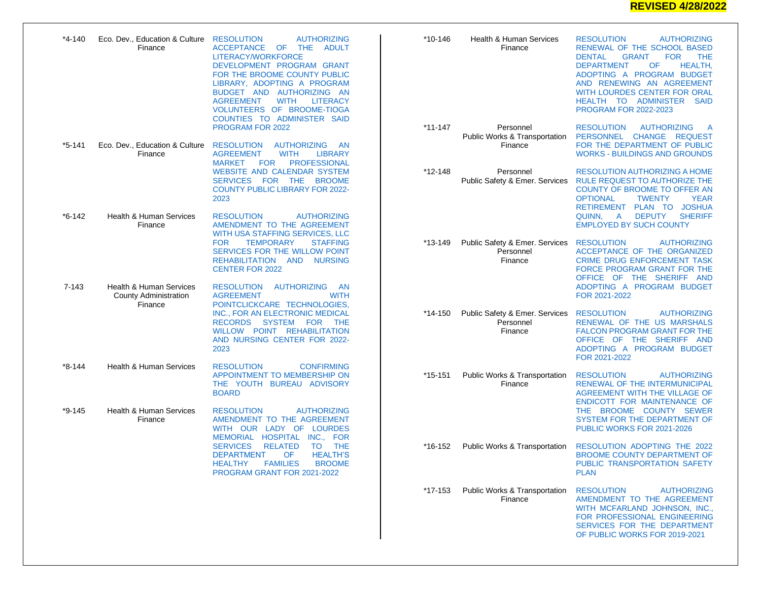## **REVISED 4/28/2022**

| *4-140     | Eco. Dev., Education & Culture RESOLUTION<br>Finance                          | <b>AUTHORIZING</b><br>ACCEPTANCE OF<br>THE ADULT<br>LITERACY/WORKFORCE<br>DEVELOPMENT PROGRAM GRANT<br>FOR THE BROOME COUNTY PUBLIC<br>LIBRARY, ADOPTING A PROGRAM<br>BUDGET AND AUTHORIZING AN<br><b>WITH</b><br><b>AGREEMENT</b><br><b>LITERACY</b><br>VOLUNTEERS OF BROOME-TIOGA<br>COUNTIES TO ADMINISTER SAID | *10-146     | Health & Human Services<br>Finance                     | <b>RESOLUTION</b><br><b>AUTHORIZING</b><br>RENEWAL OF THE SCHOOL BASED<br><b>DENTAL</b><br><b>GRANT</b><br><b>FOR</b><br><b>THE</b><br><b>DEPARTMENT</b><br>OF<br><b>HEALTH.</b><br>ADOPTING A PROGRAM BUDGET<br>AND RENEWING AN AGREEMENT<br>WITH LOURDES CENTER FOR ORAL<br>HEALTH TO ADMINISTER SAID<br><b>PROGRAM FOR 2022-2023</b> |
|------------|-------------------------------------------------------------------------------|--------------------------------------------------------------------------------------------------------------------------------------------------------------------------------------------------------------------------------------------------------------------------------------------------------------------|-------------|--------------------------------------------------------|-----------------------------------------------------------------------------------------------------------------------------------------------------------------------------------------------------------------------------------------------------------------------------------------------------------------------------------------|
|            |                                                                               | PROGRAM FOR 2022                                                                                                                                                                                                                                                                                                   | $*11 - 147$ | Personnel<br>Public Works & Transportation             | <b>RESOLUTION</b><br><b>AUTHORIZING</b><br>- A<br>PERSONNEL CHANGE REQUEST                                                                                                                                                                                                                                                              |
| *5-141     | Eco. Dev., Education & Culture<br>Finance                                     | <b>RESOLUTION</b><br><b>AUTHORIZING</b><br>- AN<br><b>AGREEMENT</b><br><b>WITH</b><br><b>LIBRARY</b><br><b>MARKET</b><br><b>PROFESSIONAL</b><br>FOR<br><b>WEBSITE AND CALENDAR SYSTEM</b><br>SERVICES FOR THE<br><b>BROOME</b><br><b>COUNTY PUBLIC LIBRARY FOR 2022-</b><br>2023                                   |             | Finance                                                | FOR THE DEPARTMENT OF PUBLIC<br><b>WORKS - BUILDINGS AND GROUNDS</b>                                                                                                                                                                                                                                                                    |
|            |                                                                               |                                                                                                                                                                                                                                                                                                                    | $*12 - 148$ | Personnel<br>Public Safety & Emer. Services            | <b>RESOLUTION AUTHORIZING A HOME</b><br>RULE REQUEST TO AUTHORIZE THE<br>COUNTY OF BROOME TO OFFER AN<br><b>OPTIONAL</b><br><b>TWENTY</b><br><b>YEAR</b><br>RETIREMENT PLAN TO JOSHUA                                                                                                                                                   |
| $*6 - 142$ | <b>Health &amp; Human Services</b><br>Finance                                 | <b>RESOLUTION</b><br><b>AUTHORIZING</b><br>AMENDMENT TO THE AGREEMENT<br>WITH USA STAFFING SERVICES, LLC<br><b>FOR</b><br><b>TEMPORARY</b><br><b>STAFFING</b><br><b>SERVICES FOR THE WILLOW POINT</b><br>REHABILITATION AND<br><b>NURSING</b><br><b>CENTER FOR 2022</b>                                            |             |                                                        | DEPUTY<br><b>SHERIFF</b><br>QUINN,<br><b>A</b><br><b>EMPLOYED BY SUCH COUNTY</b>                                                                                                                                                                                                                                                        |
|            |                                                                               |                                                                                                                                                                                                                                                                                                                    | $*13-149$   | Public Safety & Emer. Services<br>Personnel<br>Finance | <b>RESOLUTION</b><br><b>AUTHORIZING</b><br>ACCEPTANCE OF THE ORGANIZED<br><b>CRIME DRUG ENFORCEMENT TASK</b><br>FORCE PROGRAM GRANT FOR THE<br>OFFICE OF THE SHERIFF AND                                                                                                                                                                |
| $7 - 143$  | <b>Health &amp; Human Services</b><br><b>County Administration</b><br>Finance | <b>RESOLUTION</b><br><b>AUTHORIZING</b><br>- AN<br><b>WITH</b><br><b>AGREEMENT</b><br>POINTCLICKCARE TECHNOLOGIES,<br>INC., FOR AN ELECTRONIC MEDICAL<br><b>RECORDS</b><br>SYSTEM FOR<br><b>THE</b><br>WILLOW POINT REHABILITATION<br>AND NURSING CENTER FOR 2022-<br>2023                                         |             |                                                        | ADOPTING A PROGRAM BUDGET<br>FOR 2021-2022                                                                                                                                                                                                                                                                                              |
|            |                                                                               |                                                                                                                                                                                                                                                                                                                    | *14-150     | Public Safety & Emer. Services<br>Personnel<br>Finance | <b>AUTHORIZING</b><br><b>RESOLUTION</b><br>RENEWAL OF THE US MARSHALS<br><b>FALCON PROGRAM GRANT FOR THE</b><br>OFFICE OF THE SHERIFF AND<br>ADOPTING A PROGRAM BUDGET<br>FOR 2021-2022                                                                                                                                                 |
| *8-144     | <b>Health &amp; Human Services</b>                                            | <b>RESOLUTION</b><br><b>CONFIRMING</b><br>APPOINTMENT TO MEMBERSHIP ON<br>THE YOUTH BUREAU ADVISORY<br><b>BOARD</b>                                                                                                                                                                                                | *15-151     | Public Works & Transportation<br>Finance               | <b>RESOLUTION</b><br><b>AUTHORIZING</b><br>RENEWAL OF THE INTERMUNICIPAL<br>AGREEMENT WITH THE VILLAGE OF<br>ENDICOTT FOR MAINTENANCE OF                                                                                                                                                                                                |
| *9-145     | <b>Health &amp; Human Services</b><br>Finance                                 | <b>RESOLUTION</b><br><b>AUTHORIZING</b><br>AMENDMENT TO THE AGREEMENT<br>WITH OUR LADY OF LOURDES<br>MEMORIAL HOSPITAL INC., FOR<br><b>SERVICES</b><br><b>RELATED</b><br>TO THE<br><b>HEALTH'S</b><br><b>DEPARTMENT</b><br>OF.<br><b>FAMILIES</b><br><b>BROOME</b><br>HEALTHY<br>PROGRAM GRANT FOR 2021-2022       |             |                                                        | THE BROOME COUNTY SEWER<br>SYSTEM FOR THE DEPARTMENT OF<br>PUBLIC WORKS FOR 2021-2026                                                                                                                                                                                                                                                   |
|            |                                                                               |                                                                                                                                                                                                                                                                                                                    | *16-152     | <b>Public Works &amp; Transportation</b>               | RESOLUTION ADOPTING THE 2022<br><b>BROOME COUNTY DEPARTMENT OF</b><br>PUBLIC TRANSPORTATION SAFETY<br><b>PLAN</b>                                                                                                                                                                                                                       |
|            |                                                                               |                                                                                                                                                                                                                                                                                                                    | *17-153     | Public Works & Transportation<br>Finance               | <b>RESOLUTION</b><br><b>AUTHORIZING</b><br>AMENDMENT TO THE AGREEMENT<br>WITH MCFARLAND JOHNSON, INC.,<br>FOR PROFESSIONAL ENGINEERING<br>SERVICES FOR THE DEPARTMENT<br>OF PUBLIC WORKS FOR 2019-2021                                                                                                                                  |